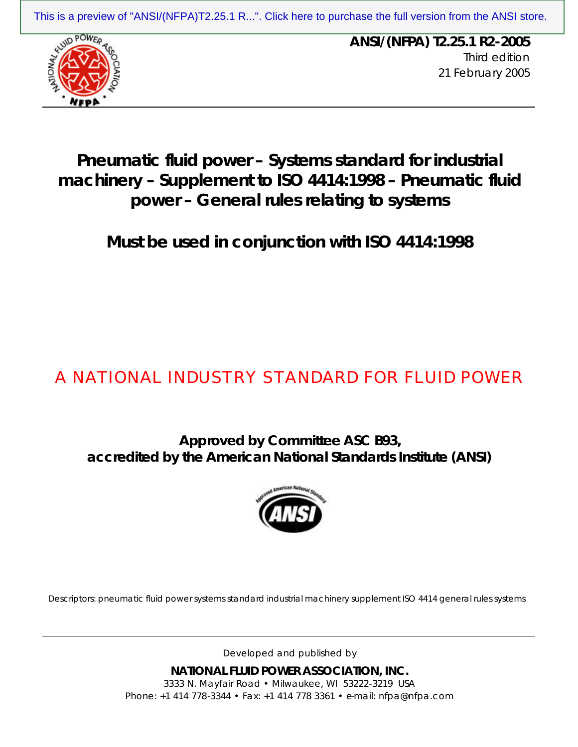

**ANSI/(NFPA) T2.25.1 R2-2005** Third edition 21 February 2005 [This is a preview of "ANSI/\(NFPA\)T2.25.1 R...". Click here to purchase the full version from the ANSI store.](https://webstore.ansi.org/Standards/NFPA-Fluid/ANSINFPAT225R22005?source=preview)<br>
ANSI/(NFPA) T2.25.1 R2-2005

## **Pneumatic fluid power – Systems standard for industrial machinery – Supplement to ISO 4414:1998 – Pneumatic fluid power – General rules relating to systems**

**Must be used in conjunction with ISO 4414:1998**

# A NATIONAL INDUSTRY STANDARD FOR FLUID POWER

**Approved by Committee ASC B93, accredited by the American National Standards Institute (ANSI)**



Descriptors: pneumatic fluid power systems standard industrial machinery supplement ISO 4414 general rules systems

Developed and published by

**NATIONAL FLUID POWER ASSOCIATION, INC.** 3333 N. Mayfair Road • Milwaukee, WI 53222-3219 USA Phone: +1 414 778-3344 • Fax: +1 414 778 3361 • e-mail: nfpa@nfpa.com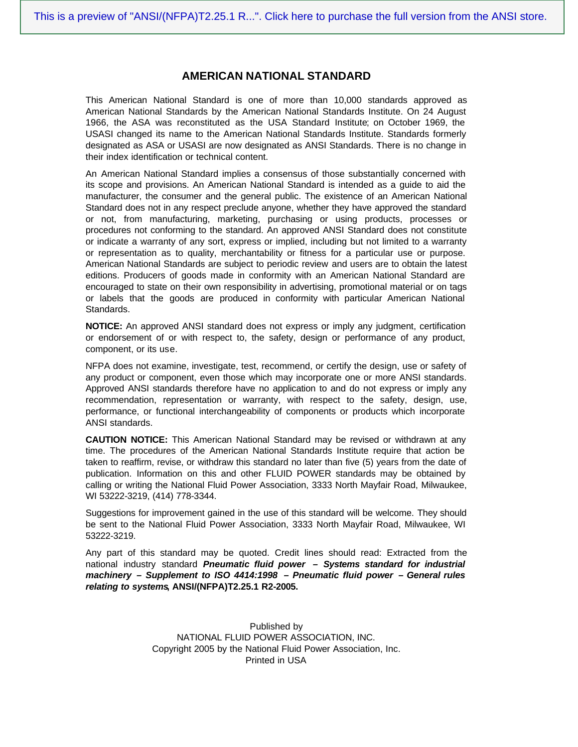#### **AMERICAN NATIONAL STANDARD**

This American National Standard is one of more than 10,000 standards approved as American National Standards by the American National Standards Institute. On 24 August 1966, the ASA was reconstituted as the USA Standard Institute; on October 1969, the USASI changed its name to the American National Standards Institute. Standards formerly designated as ASA or USASI are now designated as ANSI Standards. There is no change in their index identification or technical content.

An American National Standard implies a consensus of those substantially concerned with its scope and provisions. An American National Standard is intended as a guide to aid the manufacturer, the consumer and the general public. The existence of an American National Standard does not in any respect preclude anyone, whether they have approved the standard or not, from manufacturing, marketing, purchasing or using products, processes or procedures not conforming to the standard. An approved ANSI Standard does not constitute or indicate a warranty of any sort, express or implied, including but not limited to a warranty or representation as to quality, merchantability or fitness for a particular use or purpose. American National Standards are subject to periodic review and users are to obtain the latest editions. Producers of goods made in conformity with an American National Standard are encouraged to state on their own responsibility in advertising, promotional material or on tags or labels that the goods are produced in conformity with particular American National Standards.

**NOTICE:** An approved ANSI standard does not express or imply any judgment, certification or endorsement of or with respect to, the safety, design or performance of any product, component, or its use.

NFPA does not examine, investigate, test, recommend, or certify the design, use or safety of any product or component, even those which may incorporate one or more ANSI standards. Approved ANSI standards therefore have no application to and do not express or imply any recommendation, representation or warranty, with respect to the safety, design, use, performance, or functional interchangeability of components or products which incorporate ANSI standards.

**CAUTION NOTICE:** This American National Standard may be revised or withdrawn at any time. The procedures of the American National Standards Institute require that action be taken to reaffirm, revise, or withdraw this standard no later than five (5) years from the date of publication. Information on this and other FLUID POWER standards may be obtained by calling or writing the National Fluid Power Association, 3333 North Mayfair Road, Milwaukee, WI 53222-3219, (414) 778-3344.

Suggestions for improvement gained in the use of this standard will be welcome. They should be sent to the National Fluid Power Association, 3333 North Mayfair Road, Milwaukee, WI 53222-3219.

Any part of this standard may be quoted. Credit lines should read: Extracted from the national industry standard *Pneumatic fluid power – Systems standard for industrial machinery – Supplement to ISO 4414:1998 – Pneumatic fluid power – General rules relating to systems***, ANSI/(NFPA)T2.25.1 R2-2005.**

> Published by NATIONAL FLUID POWER ASSOCIATION, INC. Copyright 2005 by the National Fluid Power Association, Inc. Printed in USA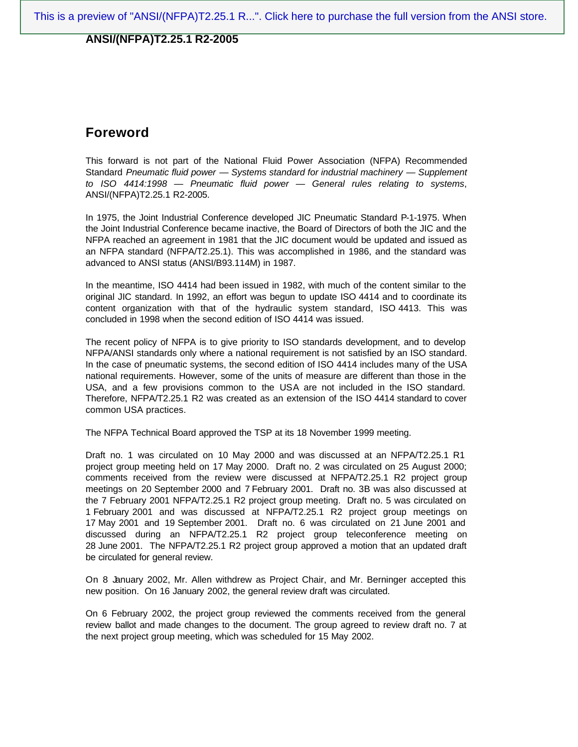## **Foreword**

This forward is not part of the National Fluid Power Association (NFPA) Recommended Standard *Pneumatic fluid power — Systems standard for industrial machinery — Supplement to ISO 4414:1998 — Pneumatic fluid power — General rules relating to systems*, ANSI/(NFPA)T2.25.1 R2-2005.

In 1975, the Joint Industrial Conference developed JIC Pneumatic Standard P-1-1975. When the Joint Industrial Conference became inactive, the Board of Directors of both the JIC and the NFPA reached an agreement in 1981 that the JIC document would be updated and issued as an NFPA standard (NFPA/T2.25.1). This was accomplished in 1986, and the standard was advanced to ANSI status (ANSI/B93.114M) in 1987.

In the meantime, ISO 4414 had been issued in 1982, with much of the content similar to the original JIC standard. In 1992, an effort was begun to update ISO 4414 and to coordinate its content organization with that of the hydraulic system standard, ISO 4413. This was concluded in 1998 when the second edition of ISO 4414 was issued.

The recent policy of NFPA is to give priority to ISO standards development, and to develop NFPA/ANSI standards only where a national requirement is not satisfied by an ISO standard. In the case of pneumatic systems, the second edition of ISO 4414 includes many of the USA national requirements. However, some of the units of measure are different than those in the USA, and a few provisions common to the USA are not included in the ISO standard. Therefore, NFPA/T2.25.1 R2 was created as an extension of the ISO 4414 standard to cover common USA practices.

The NFPA Technical Board approved the TSP at its 18 November 1999 meeting.

Draft no. 1 was circulated on 10 May 2000 and was discussed at an NFPA/T2.25.1 R1 project group meeting held on 17 May 2000. Draft no. 2 was circulated on 25 August 2000; comments received from the review were discussed at NFPA/T2.25.1 R2 project group meetings on 20 September 2000 and 7 February 2001. Draft no. 3B was also discussed at the 7 February 2001 NFPA/T2.25.1 R2 project group meeting. Draft no. 5 was circulated on 1 February 2001 and was discussed at NFPA/T2.25.1 R2 project group meetings on 17 May 2001 and 19 September 2001. Draft no. 6 was circulated on 21 June 2001 and discussed during an NFPA/T2.25.1 R2 project group teleconference meeting on 28 June 2001. The NFPA/T2.25.1 R2 project group approved a motion that an updated draft be circulated for general review.

On 8 January 2002, Mr. Allen withdrew as Project Chair, and Mr. Berninger accepted this new position. On 16 January 2002, the general review draft was circulated.

On 6 February 2002, the project group reviewed the comments received from the general review ballot and made changes to the document. The group agreed to review draft no. 7 at the next project group meeting, which was scheduled for 15 May 2002.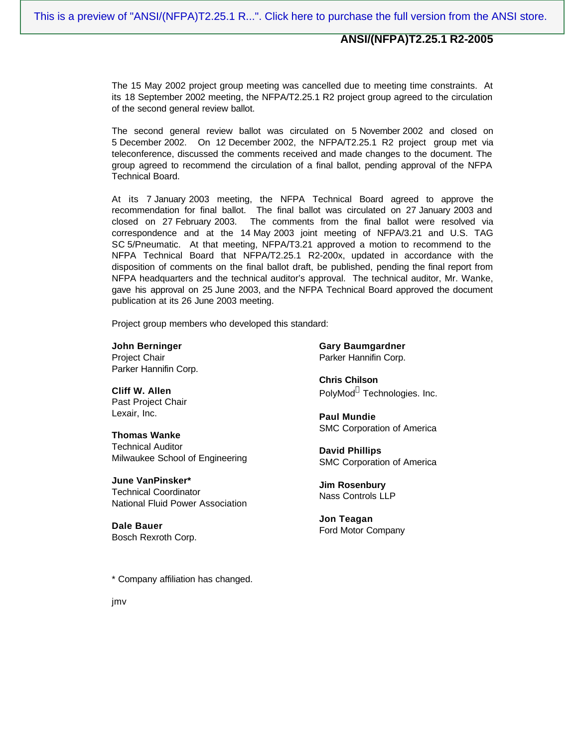The 15 May 2002 project group meeting was cancelled due to meeting time constraints. At its 18 September 2002 meeting, the NFPA/T2.25.1 R2 project group agreed to the circulation of the second general review ballot.

The second general review ballot was circulated on 5 November 2002 and closed on 5 December 2002. On 12 December 2002, the NFPA/T2.25.1 R2 project group met via teleconference, discussed the comments received and made changes to the document. The group agreed to recommend the circulation of a final ballot, pending approval of the NFPA Technical Board.

At its 7 January 2003 meeting, the NFPA Technical Board agreed to approve the recommendation for final ballot. The final ballot was circulated on 27 January 2003 and closed on 27 February 2003. The comments from the final ballot were resolved via correspondence and at the 14 May 2003 joint meeting of NFPA/3.21 and U.S. TAG SC 5/Pneumatic. At that meeting, NFPA/T3.21 approved a motion to recommend to the NFPA Technical Board that NFPA/T2.25.1 R2-200x, updated in accordance with the disposition of comments on the final ballot draft, be published, pending the final report from NFPA headquarters and the technical auditor's approval. The technical auditor, Mr. Wanke, gave his approval on 25 June 2003, and the NFPA Technical Board approved the document publication at its 26 June 2003 meeting.

Project group members who developed this standard:

**John Berninger** Project Chair Parker Hannifin Corp.

**Cliff W. Allen** Past Project Chair Lexair, Inc.

**Thomas Wanke** Technical Auditor Milwaukee School of Engineering

**June VanPinsker\*** Technical Coordinator National Fluid Power Association

**Dale Bauer** Bosch Rexroth Corp. **Gary Baumgardner** Parker Hannifin Corp.

**Chris Chilson** PolyMod® Technologies. Inc.

**Paul Mundie** SMC Corporation of America

**David Phillips** SMC Corporation of America

**Jim Rosenbury** Nass Controls LLP

**Jon Teagan** Ford Motor Company

\* Company affiliation has changed.

jmv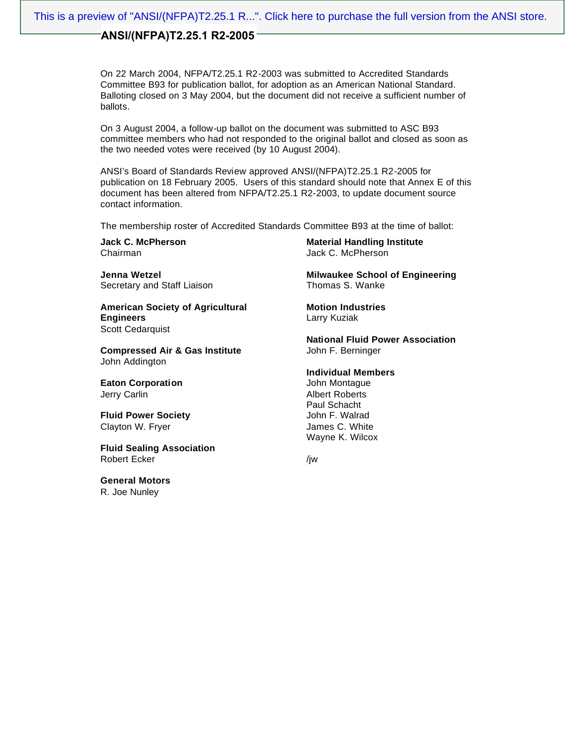On 22 March 2004, NFPA/T2.25.1 R2-2003 was submitted to Accredited Standards Committee B93 for publication ballot, for adoption as an American National Standard. Balloting closed on 3 May 2004, but the document did not receive a sufficient number of ballots.

On 3 August 2004, a follow-up ballot on the document was submitted to ASC B93 committee members who had not responded to the original ballot and closed as soon as the two needed votes were received (by 10 August 2004).

ANSI's Board of Standards Review approved ANSI/(NFPA)T2.25.1 R2-2005 for publication on 18 February 2005. Users of this standard should note that Annex E of this document has been altered from NFPA/T2.25.1 R2-2003, to update document source contact information.

The membership roster of Accredited Standards Committee B93 at the time of ballot:

**Jack C. McPherson** Chairman

**Jenna Wetzel** Secretary and Staff Liaison

**American Society of Agricultural Engineers** Scott Cedarquist

**Compressed Air & Gas Institute** John Addington

**Eaton Corporation** Jerry Carlin

**Fluid Power Society** Clayton W. Fryer

**Fluid Sealing Association** Robert Ecker

**General Motors** R. Joe Nunley

**Material Handling Institute** Jack C. McPherson

**Milwaukee School of Engineering** Thomas S. Wanke

**Motion Industries** Larry Kuziak

**National Fluid Power Association** John F. Berninger

#### **Individual Members**

John Montague Albert Roberts Paul Schacht John F. Walrad James C. White Wayne K. Wilcox

/jw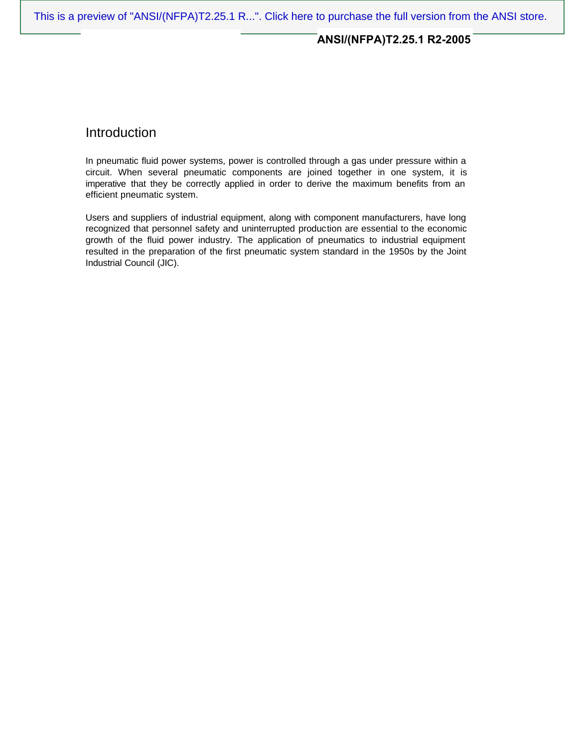## Introduction

In pneumatic fluid power systems, power is controlled through a gas under pressure within a circuit. When several pneumatic components are joined together in one system, it is imperative that they be correctly applied in order to derive the maximum benefits from an efficient pneumatic system.

Users and suppliers of industrial equipment, along with component manufacturers, have long recognized that personnel safety and uninterrupted production are essential to the economic growth of the fluid power industry. The application of pneumatics to industrial equipment resulted in the preparation of the first pneumatic system standard in the 1950s by the Joint Industrial Council (JIC).